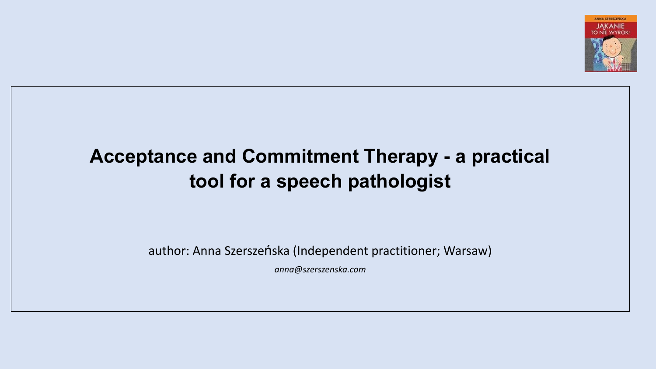

# **Acceptance and Commitment Therapy - a practical tool for a speech pathologist**

author: Anna Szerszeńska (Independent practitioner; Warsaw)

*anna@szerszenska.com*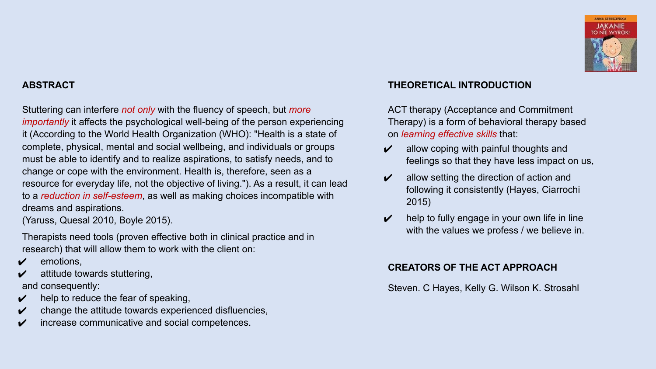### **ABSTRACT**

Stuttering can interfere *not only* with the fluency of speech, but *more importantly* it affects the psychological well-being of the person experiencing it (According to the World Health Organization (WHO): "Health is a state of complete, physical, mental and social wellbeing, and individuals or groups must be able to identify and to realize aspirations, to satisfy needs, and to change or cope with the environment. Health is, therefore, seen as a resource for everyday life, not the objective of living."). As a result, it can lead to a *reduction in self-esteem*, as well as making choices incompatible with dreams and aspirations.

(Yaruss, Quesal 2010, Boyle 2015).

Therapists need tools (proven effective both in clinical practice and in research) that will allow them to work with the client on:

- emotions.
- attitude towards stuttering,

and consequently:

- $\mathcal V$  help to reduce the fear of speaking,
- change the attitude towards experienced disfluencies,
- increase communicative and social competences.



# **THEORETICAL INTRODUCTION**

ACT therapy (Acceptance and Commitment Therapy) is a form of behavioral therapy based on *learning effective skills* that:

- allow coping with painful thoughts and feelings so that they have less impact on us,
- $\mathcal V$  allow setting the direction of action and following it consistently (Hayes, Ciarrochi 2015)
- help to fully engage in your own life in line with the values we profess / we believe in.

# **CREATORS OF THE ACT APPROACH**

Steven. C Hayes, Kelly G. Wilson K. Strosahl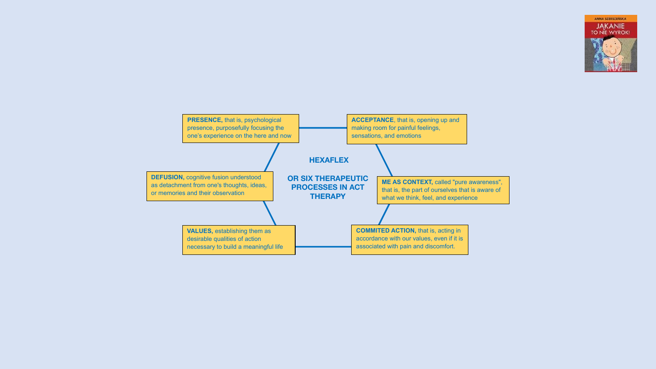

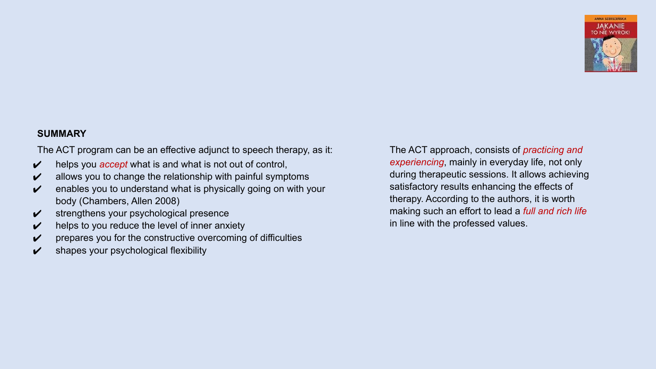

### **SUMMARY**

The ACT program can be an effective adjunct to speech therapy, as it:

- ✔ helps you *accept* what is and what is not out of control,
- $\mathcal V$  allows you to change the relationship with painful symptoms
- enables you to understand what is physically going on with your body (Chambers, Allen 2008)
- $\mathcal V$  strengthens your psychological presence
- $\mathcal V$  helps to you reduce the level of inner anxiety
- prepares you for the constructive overcoming of difficulties
- shapes your psychological flexibility

The ACT approach, consists of *practicing and experiencing*, mainly in everyday life, not only during therapeutic sessions. It allows achieving satisfactory results enhancing the effects of therapy. According to the authors, it is worth making such an effort to lead a *full and rich life* in line with the professed values.